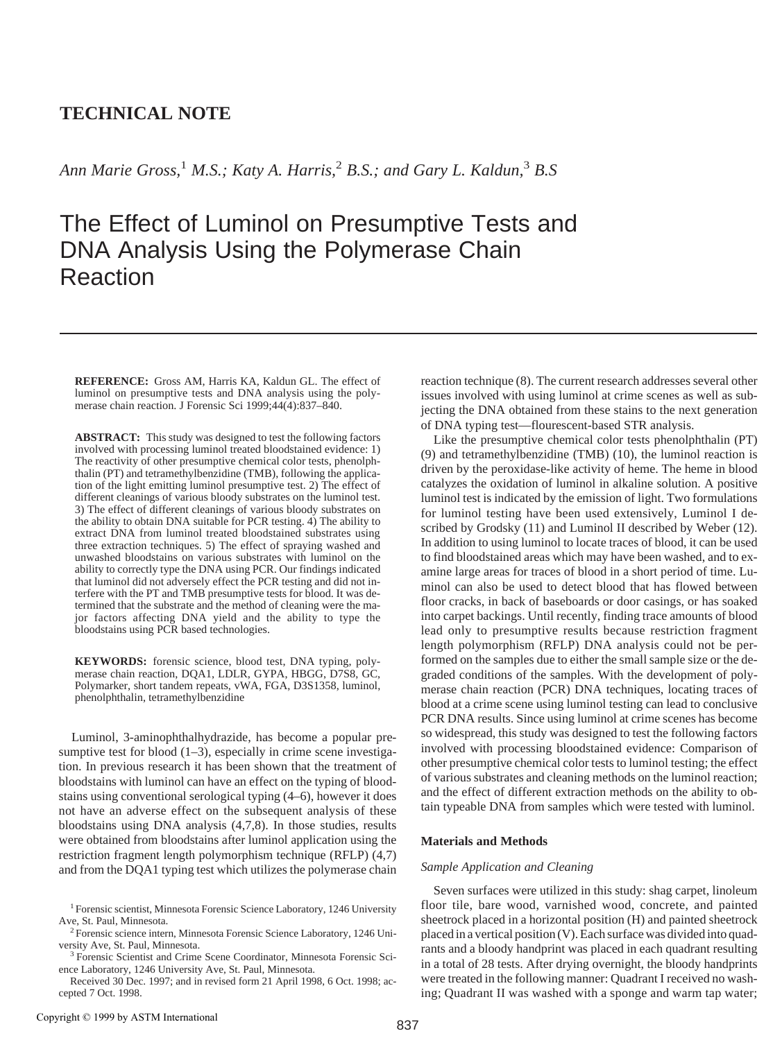# **TECHNICAL NOTE**

*Ann Marie Gross,*<sup>1</sup> *M.S.; Katy A. Harris,*<sup>2</sup> *B.S.; and Gary L. Kaldun,*<sup>3</sup> *B.S*

# The Effect of Luminol on Presumptive Tests and DNA Analysis Using the Polymerase Chain Reaction

**REFERENCE:** Gross AM, Harris KA, Kaldun GL. The effect of luminol on presumptive tests and DNA analysis using the polymerase chain reaction. J Forensic Sci 1999;44(4):837–840.

**ABSTRACT:** This study was designed to test the following factors involved with processing luminol treated bloodstained evidence: 1) The reactivity of other presumptive chemical color tests, phenolphthalin (PT) and tetramethylbenzidine (TMB), following the application of the light emitting luminol presumptive test. 2) The effect of different cleanings of various bloody substrates on the luminol test. 3) The effect of different cleanings of various bloody substrates on the ability to obtain DNA suitable for PCR testing. 4) The ability to extract DNA from luminol treated bloodstained substrates using three extraction techniques. 5) The effect of spraying washed and unwashed bloodstains on various substrates with luminol on the ability to correctly type the DNA using PCR. Our findings indicated that luminol did not adversely effect the PCR testing and did not interfere with the PT and TMB presumptive tests for blood. It was determined that the substrate and the method of cleaning were the major factors affecting DNA yield and the ability to type the bloodstains using PCR based technologies.

**KEYWORDS:** forensic science, blood test, DNA typing, polymerase chain reaction, DQA1, LDLR, GYPA, HBGG, D7S8, GC, Polymarker, short tandem repeats, vWA, FGA, D3S1358, luminol, phenolphthalin, tetramethylbenzidine

Luminol, 3-aminophthalhydrazide, has become a popular presumptive test for blood  $(1-3)$ , especially in crime scene investigation. In previous research it has been shown that the treatment of bloodstains with luminol can have an effect on the typing of bloodstains using conventional serological typing (4–6), however it does not have an adverse effect on the subsequent analysis of these bloodstains using DNA analysis (4,7,8). In those studies, results were obtained from bloodstains after luminol application using the restriction fragment length polymorphism technique (RFLP) (4,7) and from the DQA1 typing test which utilizes the polymerase chain

reaction technique (8). The current research addresses several other issues involved with using luminol at crime scenes as well as subjecting the DNA obtained from these stains to the next generation of DNA typing test—flourescent-based STR analysis.

Like the presumptive chemical color tests phenolphthalin (PT) (9) and tetramethylbenzidine (TMB) (10), the luminol reaction is driven by the peroxidase-like activity of heme. The heme in blood catalyzes the oxidation of luminol in alkaline solution. A positive luminol test is indicated by the emission of light. Two formulations for luminol testing have been used extensively, Luminol I described by Grodsky (11) and Luminol II described by Weber (12). In addition to using luminol to locate traces of blood, it can be used to find bloodstained areas which may have been washed, and to examine large areas for traces of blood in a short period of time. Luminol can also be used to detect blood that has flowed between floor cracks, in back of baseboards or door casings, or has soaked into carpet backings. Until recently, finding trace amounts of blood lead only to presumptive results because restriction fragment length polymorphism (RFLP) DNA analysis could not be performed on the samples due to either the small sample size or the degraded conditions of the samples. With the development of polymerase chain reaction (PCR) DNA techniques, locating traces of blood at a crime scene using luminol testing can lead to conclusive PCR DNA results. Since using luminol at crime scenes has become so widespread, this study was designed to test the following factors involved with processing bloodstained evidence: Comparison of other presumptive chemical color tests to luminol testing; the effect of various substrates and cleaning methods on the luminol reaction; and the effect of different extraction methods on the ability to obtain typeable DNA from samples which were tested with luminol.

## **Materials and Methods**

# *Sample Application and Cleaning*

Seven surfaces were utilized in this study: shag carpet, linoleum floor tile, bare wood, varnished wood, concrete, and painted sheetrock placed in a horizontal position (H) and painted sheetrock placed in a vertical position (V). Each surface was divided into quadrants and a bloody handprint was placed in each quadrant resulting in a total of 28 tests. After drying overnight, the bloody handprints were treated in the following manner: Quadrant I received no washing; Quadrant II was washed with a sponge and warm tap water;

<sup>&</sup>lt;sup>1</sup> Forensic scientist, Minnesota Forensic Science Laboratory, 1246 University Ave, St. Paul, Minnesota. 2 Forensic science intern, Minnesota Forensic Science Laboratory, 1246 Uni-

versity Ave, St. Paul, Minnesota. 3 Forensic Scientist and Crime Scene Coordinator, Minnesota Forensic Sci-

ence Laboratory, 1246 University Ave, St. Paul, Minnesota.

Received 30 Dec. 1997; and in revised form 21 April 1998, 6 Oct. 1998; accepted 7 Oct. 1998.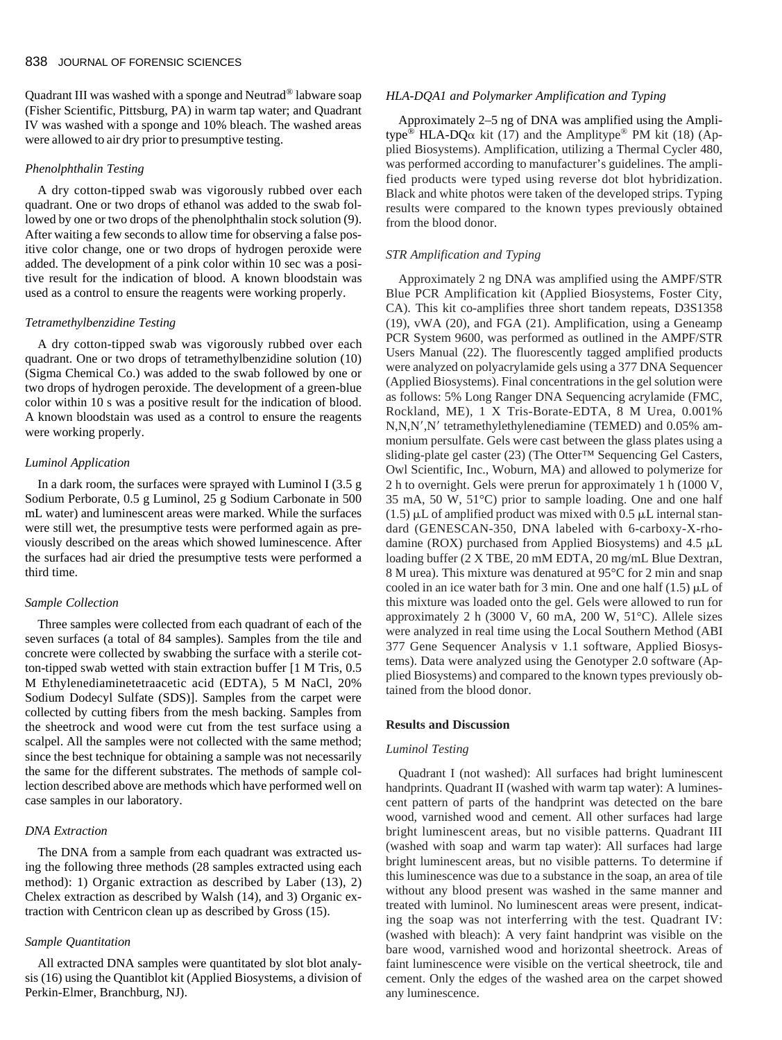Quadrant III was washed with a sponge and Neutrad® labware soap (Fisher Scientific, Pittsburg, PA) in warm tap water; and Quadrant IV was washed with a sponge and 10% bleach. The washed areas were allowed to air dry prior to presumptive testing.

#### *Phenolphthalin Testing*

A dry cotton-tipped swab was vigorously rubbed over each quadrant. One or two drops of ethanol was added to the swab followed by one or two drops of the phenolphthalin stock solution (9). After waiting a few seconds to allow time for observing a false positive color change, one or two drops of hydrogen peroxide were added. The development of a pink color within 10 sec was a positive result for the indication of blood. A known bloodstain was used as a control to ensure the reagents were working properly.

# *Tetramethylbenzidine Testing*

A dry cotton-tipped swab was vigorously rubbed over each quadrant. One or two drops of tetramethylbenzidine solution (10) (Sigma Chemical Co.) was added to the swab followed by one or two drops of hydrogen peroxide. The development of a green-blue color within 10 s was a positive result for the indication of blood. A known bloodstain was used as a control to ensure the reagents were working properly.

#### *Luminol Application*

In a dark room, the surfaces were sprayed with Luminol I (3.5 g Sodium Perborate, 0.5 g Luminol, 25 g Sodium Carbonate in 500 mL water) and luminescent areas were marked. While the surfaces were still wet, the presumptive tests were performed again as previously described on the areas which showed luminescence. After the surfaces had air dried the presumptive tests were performed a third time.

#### *Sample Collection*

Three samples were collected from each quadrant of each of the seven surfaces (a total of 84 samples). Samples from the tile and concrete were collected by swabbing the surface with a sterile cotton-tipped swab wetted with stain extraction buffer [1 M Tris, 0.5 M Ethylenediaminetetraacetic acid (EDTA), 5 M NaCl, 20% Sodium Dodecyl Sulfate (SDS)]. Samples from the carpet were collected by cutting fibers from the mesh backing. Samples from the sheetrock and wood were cut from the test surface using a scalpel. All the samples were not collected with the same method; since the best technique for obtaining a sample was not necessarily the same for the different substrates. The methods of sample collection described above are methods which have performed well on case samples in our laboratory.

#### *DNA Extraction*

The DNA from a sample from each quadrant was extracted using the following three methods (28 samples extracted using each method): 1) Organic extraction as described by Laber (13), 2) Chelex extraction as described by Walsh (14), and 3) Organic extraction with Centricon clean up as described by Gross (15).

#### *Sample Quantitation*

All extracted DNA samples were quantitated by slot blot analysis (16) using the Quantiblot kit (Applied Biosystems, a division of Perkin-Elmer, Branchburg, NJ).

## *HLA-DQA1 and Polymarker Amplification and Typing*

Approximately 2–5 ng of DNA was amplified using the Amplitype<sup>®</sup> HLA-DQ $\alpha$  kit (17) and the Amplitype<sup>®</sup> PM kit (18) (Applied Biosystems). Amplification, utilizing a Thermal Cycler 480, was performed according to manufacturer's guidelines. The amplified products were typed using reverse dot blot hybridization. Black and white photos were taken of the developed strips. Typing results were compared to the known types previously obtained from the blood donor.

### *STR Amplification and Typing*

Approximately 2 ng DNA was amplified using the AMPF/STR Blue PCR Amplification kit (Applied Biosystems, Foster City, CA). This kit co-amplifies three short tandem repeats, D3S1358 (19), vWA (20), and FGA (21). Amplification, using a Geneamp PCR System 9600, was performed as outlined in the AMPF/STR Users Manual (22). The fluorescently tagged amplified products were analyzed on polyacrylamide gels using a 377 DNA Sequencer (Applied Biosystems). Final concentrations in the gel solution were as follows: 5% Long Ranger DNA Sequencing acrylamide (FMC, Rockland, ME), 1 X Tris-Borate-EDTA, 8 M Urea, 0.001% N,N,N',N' tetramethylethylenediamine (TEMED) and 0.05% ammonium persulfate. Gels were cast between the glass plates using a sliding-plate gel caster (23) (The Otter™ Sequencing Gel Casters, Owl Scientific, Inc., Woburn, MA) and allowed to polymerize for 2 h to overnight. Gels were prerun for approximately 1 h (1000 V, 35 mA, 50 W, 51°C) prior to sample loading. One and one half  $(1.5)$  µL of amplified product was mixed with 0.5 µL internal standard (GENESCAN-350, DNA labeled with 6-carboxy-X-rhodamine (ROX) purchased from Applied Biosystems) and 4.5 mL loading buffer (2 X TBE, 20 mM EDTA, 20 mg/mL Blue Dextran, 8 M urea). This mixture was denatured at 95°C for 2 min and snap cooled in an ice water bath for 3 min. One and one half  $(1.5)$   $\mu$ L of this mixture was loaded onto the gel. Gels were allowed to run for approximately 2 h (3000 V, 60 mA, 200 W, 51°C). Allele sizes were analyzed in real time using the Local Southern Method (ABI 377 Gene Sequencer Analysis v 1.1 software, Applied Biosystems). Data were analyzed using the Genotyper 2.0 software (Applied Biosystems) and compared to the known types previously obtained from the blood donor.

# **Results and Discussion**

# *Luminol Testing*

Quadrant I (not washed): All surfaces had bright luminescent handprints. Quadrant II (washed with warm tap water): A luminescent pattern of parts of the handprint was detected on the bare wood, varnished wood and cement. All other surfaces had large bright luminescent areas, but no visible patterns. Quadrant III (washed with soap and warm tap water): All surfaces had large bright luminescent areas, but no visible patterns. To determine if this luminescence was due to a substance in the soap, an area of tile without any blood present was washed in the same manner and treated with luminol. No luminescent areas were present, indicating the soap was not interferring with the test. Quadrant IV: (washed with bleach): A very faint handprint was visible on the bare wood, varnished wood and horizontal sheetrock. Areas of faint luminescence were visible on the vertical sheetrock, tile and cement. Only the edges of the washed area on the carpet showed any luminescence.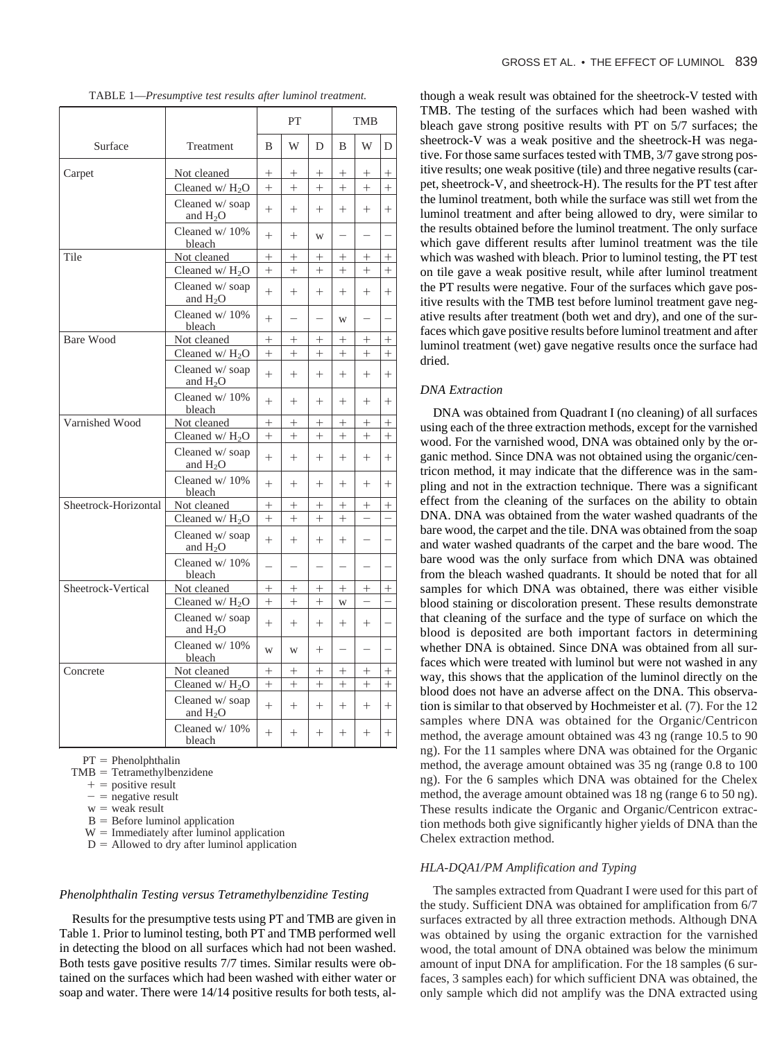|                      |                               | PT     |          |          | <b>TMB</b> |                          |                          |
|----------------------|-------------------------------|--------|----------|----------|------------|--------------------------|--------------------------|
| Surface              | Treatment                     | B      | W        | D        | B          | W                        | D                        |
| Carpet               | Not cleaned                   | $^+$   | $^{+}$   | $^+$     | $^{+}$     | $^{+}$                   | $\hspace{0.1mm} +$       |
|                      | Cleaned $w/H_2O$              | $^{+}$ | $+$      | $+$      | $+$        | $+$                      | $+$                      |
|                      | Cleaned w/ soap<br>and $H_2O$ | $^{+}$ | $^{+}$   | $^{+}$   | $+$        | $+$                      | $^{+}$                   |
|                      | Cleaned w/10%<br>bleach       | $^{+}$ | $+$      | W        | $\equiv$   | $\equiv$                 | $\overline{\phantom{0}}$ |
| Tile                 | Not cleaned                   | $^{+}$ | $^{+}$   | $^{+}$   | $^{+}$     | $^{+}$                   | $^{+}$                   |
|                      | Cleaned $w/H_2O$              | $^{+}$ | $^{+}$   | $^{+}$   | $^{+}$     | $^{+}$                   | $^{+}$                   |
|                      | Cleaned w/ soap<br>and $H_2O$ | $^{+}$ | $+$      | $+$      | $+$        | $+$                      | $^{+}$                   |
|                      | Cleaned w/10%<br>bleach       | $^{+}$ | $\equiv$ | $\equiv$ | W          | $\equiv$                 |                          |
| <b>Bare Wood</b>     | Not cleaned                   | $^{+}$ | $^{+}$   | $^{+}$   | $^{+}$     | $^{+}$                   | $^{+}$                   |
|                      | Cleaned $w/H_2O$              | $^{+}$ | $^{+}$   | $+$      | $+$        | $+$                      | $+$                      |
|                      | Cleaned w/ soap<br>and $H_2O$ | $^{+}$ | $^{+}$   | $^{+}$   | $+$        | $+$                      | $^{+}$                   |
|                      | Cleaned w/10%<br>bleach       | $^{+}$ | $^{+}$   | $^{+}$   | $+$        | $+$                      | $^{+}$                   |
| Varnished Wood       | Not cleaned                   | $^{+}$ | $^{+}$   | $^{+}$   | $^{+}$     | $^{+}$                   | $^{+}$                   |
|                      | Cleaned $w/H_2O$              | $^{+}$ | $^{+}$   | $^{+}$   | $+$        | $+$                      | $^{+}$                   |
|                      | Cleaned w/ soap<br>and $H_2O$ | $^{+}$ | $^{+}$   | $^{+}$   | $+$        | $+$                      | $^{+}$                   |
|                      | Cleaned w/10%<br>bleach       | $+$    | $+$      | $+$      | $+$        | $+$                      | $+$                      |
| Sheetrock-Horizontal | Not cleaned                   | $^{+}$ | $^{+}$   | $^{+}$   | $+$        | $^{+}$                   | $^{+}$                   |
|                      | Cleaned $w/H2O$               | $^{+}$ | $^{+}$   | $^{+}$   | $+$        | $\overline{\phantom{0}}$ | $\overline{\phantom{0}}$ |
|                      | Cleaned w/ soap<br>and $H_2O$ | $^{+}$ | $^{+}$   | $^{+}$   | $^{+}$     | $\overline{\phantom{0}}$ | $\overline{\phantom{0}}$ |
|                      | Cleaned w/10%<br>bleach       |        |          |          |            |                          |                          |
| Sheetrock-Vertical   | Not cleaned                   | $^{+}$ | $^{+}$   | $^{+}$   | $^{+}$     | $^{+}$                   | $^{+}$                   |
|                      | Cleaned w/ $H_2O$             | $^{+}$ | $^{+}$   | $^{+}$   | W          |                          | $\overline{\phantom{0}}$ |
|                      | Cleaned w/soap<br>and $H_2O$  | $^{+}$ | $+$      | $^{+}$   | $^{+}$     | $^{+}$                   | $\overline{\phantom{0}}$ |
|                      | Cleaned w/10%<br>bleach       | W      | W        | $^{+}$   |            |                          |                          |
| Concrete             | Not cleaned                   | $^+$   | $^{+}$   | $^{+}$   | $^{+}$     | $^{+}$                   | $^{+}$                   |
|                      | Cleaned $w/H_2O$              | $^{+}$ | $^{+}$   | $^{+}$   | $^{+}$     | $+$                      | $^{+}$                   |
|                      | Cleaned w/ soap<br>and $H2O$  | $+$    | $+$      | $^{+}$   | $+$        | $+$                      | $+$                      |
|                      | Cleaned w/10%<br>bleach       | $^{+}$ | $^{+}$   | $^{+}$   | $+$        | $+$                      | $+$                      |

TABLE 1—*Presumptive test results after luminol treatment.*

 $PT = Phenolphthalin$ 

 $TMB = Tetramethylbenziden$ e

- $+$  = positive result
- $-$  = negative result
- $w =$  weak result
- $B =$  Before luminol application

 $W =$  Immediately after luminol application  $D =$  Allowed to dry after luminol application

# *Phenolphthalin Testing versus Tetramethylbenzidine Testing*

Results for the presumptive tests using PT and TMB are given in Table 1. Prior to luminol testing, both PT and TMB performed well in detecting the blood on all surfaces which had not been washed. Both tests gave positive results 7/7 times. Similar results were obtained on the surfaces which had been washed with either water or soap and water. There were 14/14 positive results for both tests, although a weak result was obtained for the sheetrock-V tested with TMB. The testing of the surfaces which had been washed with bleach gave strong positive results with PT on 5/7 surfaces; the sheetrock-V was a weak positive and the sheetrock-H was negative. For those same surfaces tested with TMB, 3/7 gave strong positive results; one weak positive (tile) and three negative results (carpet, sheetrock-V, and sheetrock-H). The results for the PT test after the luminol treatment, both while the surface was still wet from the luminol treatment and after being allowed to dry, were similar to the results obtained before the luminol treatment. The only surface which gave different results after luminol treatment was the tile which was washed with bleach. Prior to luminol testing, the PT test on tile gave a weak positive result, while after luminol treatment the PT results were negative. Four of the surfaces which gave positive results with the TMB test before luminol treatment gave negative results after treatment (both wet and dry), and one of the surfaces which gave positive results before luminol treatment and after luminol treatment (wet) gave negative results once the surface had dried.

#### *DNA Extraction*

DNA was obtained from Quadrant I (no cleaning) of all surfaces using each of the three extraction methods, except for the varnished wood. For the varnished wood, DNA was obtained only by the organic method. Since DNA was not obtained using the organic/centricon method, it may indicate that the difference was in the sampling and not in the extraction technique. There was a significant effect from the cleaning of the surfaces on the ability to obtain DNA. DNA was obtained from the water washed quadrants of the bare wood, the carpet and the tile. DNA was obtained from the soap and water washed quadrants of the carpet and the bare wood. The bare wood was the only surface from which DNA was obtained from the bleach washed quadrants. It should be noted that for all samples for which DNA was obtained, there was either visible blood staining or discoloration present. These results demonstrate that cleaning of the surface and the type of surface on which the blood is deposited are both important factors in determining whether DNA is obtained. Since DNA was obtained from all surfaces which were treated with luminol but were not washed in any way, this shows that the application of the luminol directly on the blood does not have an adverse affect on the DNA. This observation is similar to that observed by Hochmeister et al*.* (7). For the 12 samples where DNA was obtained for the Organic/Centricon method, the average amount obtained was 43 ng (range 10.5 to 90 ng). For the 11 samples where DNA was obtained for the Organic method, the average amount obtained was 35 ng (range 0.8 to 100 ng). For the 6 samples which DNA was obtained for the Chelex method, the average amount obtained was 18 ng (range 6 to 50 ng). These results indicate the Organic and Organic/Centricon extraction methods both give significantly higher yields of DNA than the Chelex extraction method.

## *HLA-DQA1/PM Amplification and Typing*

The samples extracted from Quadrant I were used for this part of the study. Sufficient DNA was obtained for amplification from 6/7 surfaces extracted by all three extraction methods. Although DNA was obtained by using the organic extraction for the varnished wood, the total amount of DNA obtained was below the minimum amount of input DNA for amplification. For the 18 samples (6 surfaces, 3 samples each) for which sufficient DNA was obtained, the only sample which did not amplify was the DNA extracted using